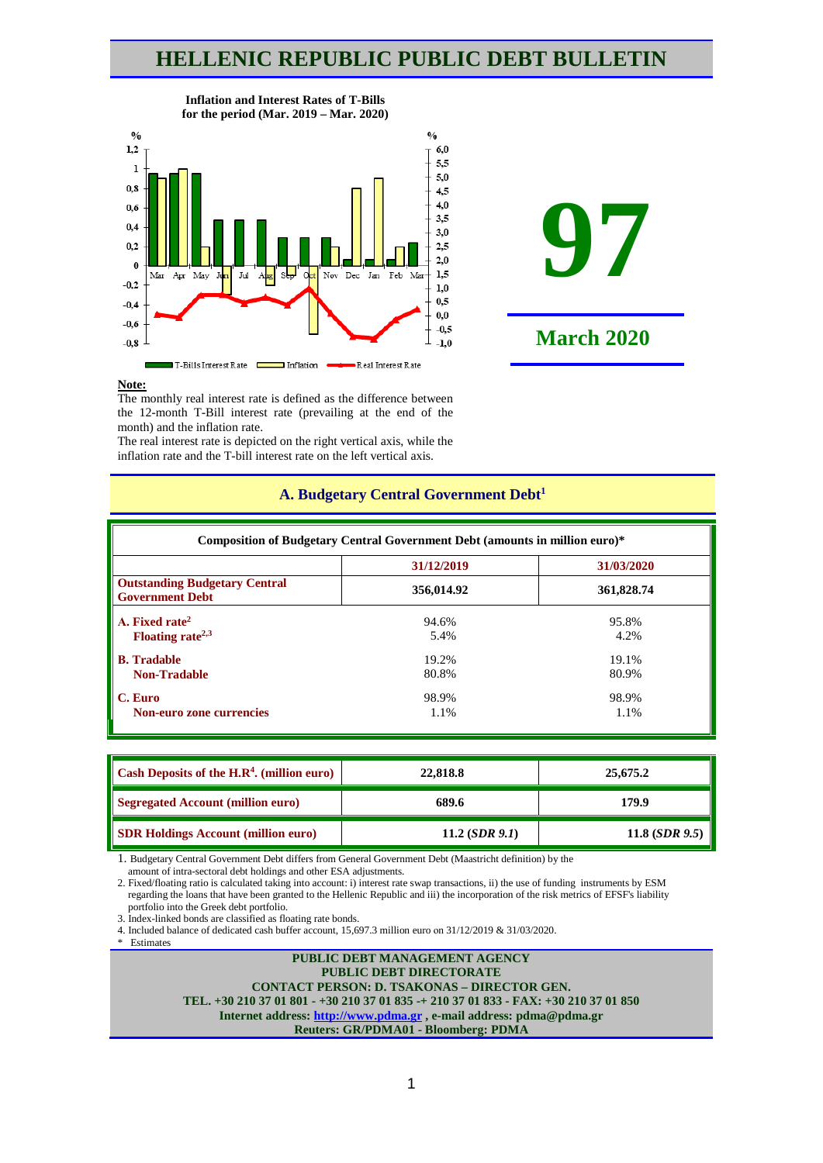# **HELLENIC REPUBLIC PUBLIC DEBT BULLETIN**



#### **Inflation and Interest Rates of T-Bills for the period (Mar. 2019 – Mar. 2020)**



### **Note:**

The monthly real interest rate is defined as the difference between the 12-month T-Bill interest rate (prevailing at the end of the month) and the inflation rate.

The real interest rate is depicted on the right vertical axis, while the inflation rate and the T-bill interest rate on the left vertical axis.

|                                                                | Composition of Budgetary Central Government Debt (amounts in million euro)* |            |  |  |  |  |  |
|----------------------------------------------------------------|-----------------------------------------------------------------------------|------------|--|--|--|--|--|
| 31/12/2019<br>31/03/2020                                       |                                                                             |            |  |  |  |  |  |
| <b>Outstanding Budgetary Central</b><br><b>Government Debt</b> | 356,014.92                                                                  | 361,828.74 |  |  |  |  |  |
| A. Fixed rate <sup>2</sup>                                     | 94.6%                                                                       | 95.8%      |  |  |  |  |  |
| Floating rate <sup><math>2,3</math></sup>                      | 5.4%                                                                        | 4.2%       |  |  |  |  |  |
| <b>B.</b> Tradable                                             | 19.2%                                                                       | 19.1%      |  |  |  |  |  |
| <b>Non-Tradable</b>                                            | 80.8%                                                                       | 80.9%      |  |  |  |  |  |
| C. Euro                                                        | 98.9%                                                                       | 98.9%      |  |  |  |  |  |
| Non-euro zone currencies                                       | 1.1%                                                                        | 1.1%       |  |  |  |  |  |

# **A. Budgetary Central Government Debt1**

| Cash Deposits of the $H.R4$ . (million euro) | 22,818.8         | 25,675.2         |  |  |
|----------------------------------------------|------------------|------------------|--|--|
| <b>Segregated Account (million euro)</b>     | 689.6            | 179.9            |  |  |
| <b>SDR Holdings Account (million euro)</b>   | 11.2 $(SDR 9.1)$ | 11.8 $(SDR 9.5)$ |  |  |

1. Budgetary Central Government Debt differs from General Government Debt (Maastricht definition) by the

amount of intra-sectoral debt holdings and other ESA adjustments.

2. Fixed/floating ratio is calculated taking into account: i) interest rate swap transactions, ii) the use of funding instruments by ESM regarding the loans that have been granted to the Hellenic Republic and iii) the incorporation of the risk metrics of EFSF's liability portfolio into the Greek debt portfolio.

3. Index-linked bonds are classified as floating rate bonds.

4. Included balance of dedicated cash buffer account, 15,697.3 million euro οn 31/12/2019 & 31/03/2020. \* Estimates

**PUBLIC DEBT MANAGEMENT AGENCY PUBLIC DEBT DIRECTORATE CONTACT PERSON: D. TSAKONAS – DIRECTOR GEN. TEL. +30 210 37 01 801 - +30 210 37 01 835 -+ 210 37 01 833 - FAX: +30 210 37 01 850 Internet address: [http://www.pdma.gr](http://www.pdma.gr/) , e-mail address: pdma@pdma.gr Reuters: GR/PDMA01 - Bloomberg: PDMA**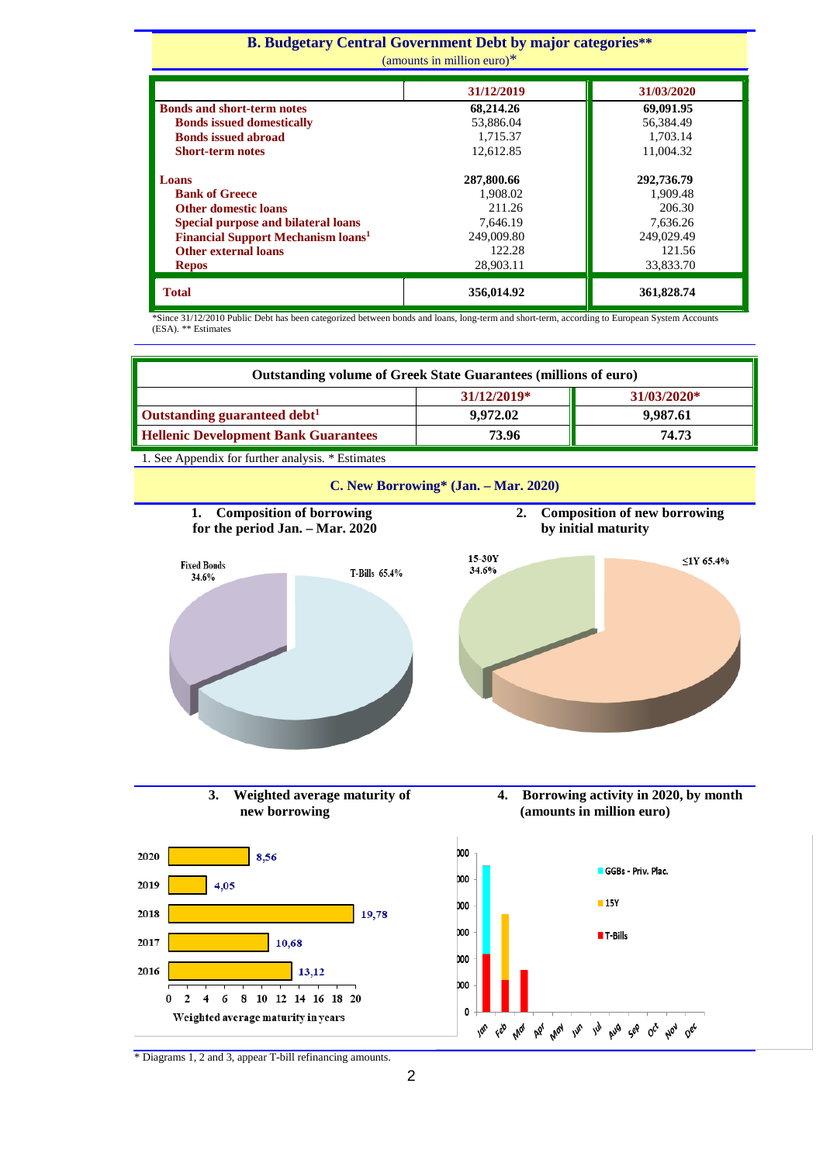#### **Β. Budgetary Central Government Debt by major categories\*\*** (amounts in million euro)\*

| $\mu$ ano unos no himiton curo $\mu$                 |            |            |  |  |  |
|------------------------------------------------------|------------|------------|--|--|--|
|                                                      | 31/12/2019 | 31/03/2020 |  |  |  |
| <b>Bonds and short-term notes</b>                    | 68,214.26  | 69,091.95  |  |  |  |
| <b>Bonds issued domestically</b>                     | 53,886.04  | 56,384.49  |  |  |  |
| <b>Bonds issued abroad</b>                           | 1,715.37   | 1.703.14   |  |  |  |
| <b>Short-term notes</b>                              | 12.612.85  | 11,004.32  |  |  |  |
|                                                      |            |            |  |  |  |
| Loans                                                | 287,800.66 | 292,736.79 |  |  |  |
| <b>Bank of Greece</b>                                | 1.908.02   | 1,909.48   |  |  |  |
| <b>Other domestic loans</b>                          | 211.26     | 206.30     |  |  |  |
| Special purpose and bilateral loans                  | 7.646.19   | 7.636.26   |  |  |  |
| <b>Financial Support Mechanism loans<sup>1</sup></b> | 249,009.80 | 249,029.49 |  |  |  |
| <b>Other external loans</b>                          | 122.28     | 121.56     |  |  |  |
| <b>Repos</b>                                         | 28,903.11  | 33,833.70  |  |  |  |
| <b>Total</b>                                         | 356,014.92 | 361,828.74 |  |  |  |

\*Since 31/12/2010 Public Debt has been categorized between bonds and loans, long-term and short-term, according to European System Accounts (ESA). \*\* Estimates

| <b>Outstanding volume of Greek State Guarantees (millions of euro)</b> |          |          |  |  |  |  |
|------------------------------------------------------------------------|----------|----------|--|--|--|--|
| 31/12/2019*<br>$31/03/2020*$                                           |          |          |  |  |  |  |
| $\blacksquare$ Outstanding guaranteed debt <sup>1</sup>                | 9.972.02 | 9,987.61 |  |  |  |  |
| Hellenic Development Bank Guarantees<br>74.73<br>73.96                 |          |          |  |  |  |  |

1. See Appendix for further analysis. \* Estimates





**3. Weighted average maturity of new borrowing**





\* Diagrams 1, 2 and 3, appear T-bill refinancing amounts.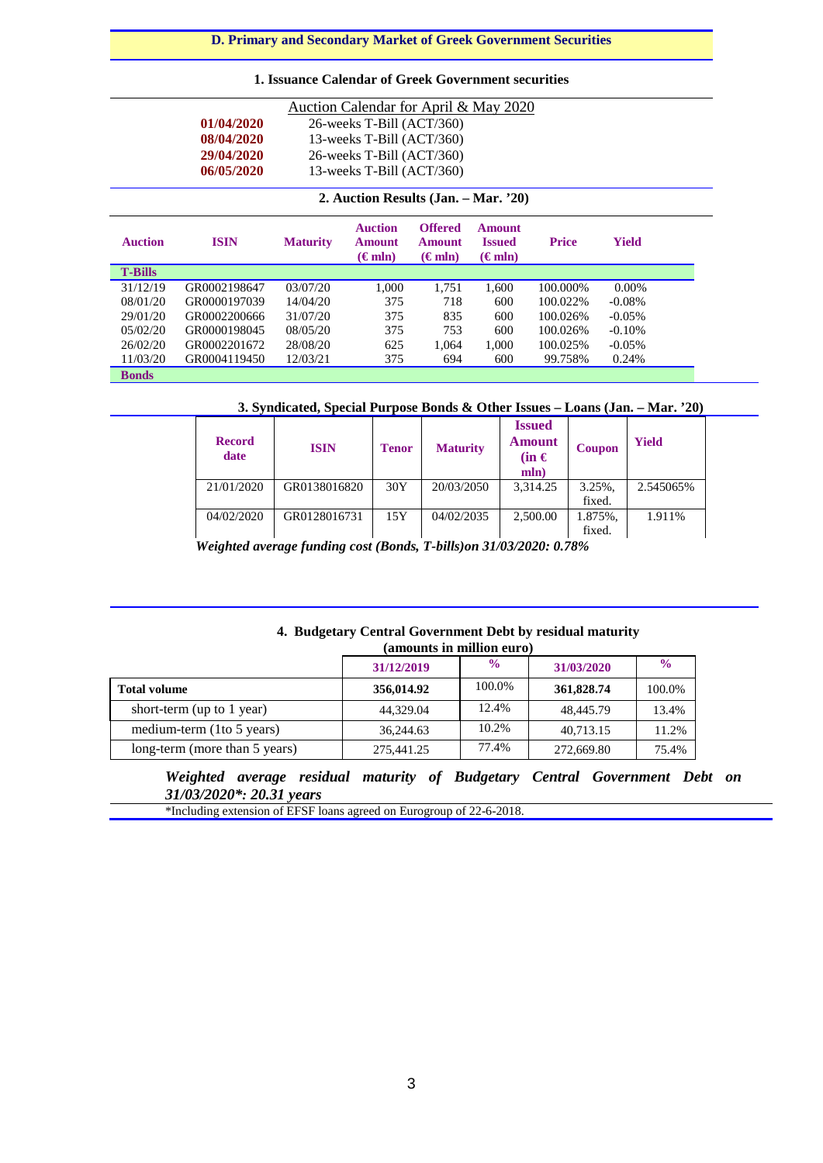**D. Primary and Secondary Market of Greek Government Securities**

# **1. Issuance Calendar of Greek Government securities**

| Auction Calendar for April & May 2020 |                                           |                 |                                                     |                                                     |                                                  |              |              |  |  |
|---------------------------------------|-------------------------------------------|-----------------|-----------------------------------------------------|-----------------------------------------------------|--------------------------------------------------|--------------|--------------|--|--|
|                                       | 01/04/2020<br>26-weeks T-Bill (ACT/360)   |                 |                                                     |                                                     |                                                  |              |              |  |  |
|                                       | 08/04/2020<br>13-weeks T-Bill $(ACT/360)$ |                 |                                                     |                                                     |                                                  |              |              |  |  |
|                                       | 29/04/2020<br>26-weeks T-Bill (ACT/360)   |                 |                                                     |                                                     |                                                  |              |              |  |  |
|                                       | 06/05/2020                                |                 | 13-weeks T-Bill $(ACT/360)$                         |                                                     |                                                  |              |              |  |  |
|                                       |                                           |                 |                                                     |                                                     |                                                  |              |              |  |  |
|                                       |                                           |                 | 2. Auction Results (Jan. – Mar. '20)                |                                                     |                                                  |              |              |  |  |
| <b>Auction</b>                        | <b>ISIN</b>                               | <b>Maturity</b> | <b>Auction</b><br><b>Amount</b><br>$(\epsilon m n)$ | <b>Offered</b><br><b>Amount</b><br>$(\epsilon m n)$ | <b>Amount</b><br><b>Issued</b><br>$(\epsilon m)$ | <b>Price</b> | <b>Yield</b> |  |  |
| <b>T-Bills</b>                        |                                           |                 |                                                     |                                                     |                                                  |              |              |  |  |
| 31/12/19                              | GR0002198647                              | 03/07/20        | 1.000                                               | 1.751                                               | 1.600                                            | 100.000%     | $0.00\%$     |  |  |
| 08/01/20                              | GR0000197039                              | 14/04/20        | 375                                                 | 718                                                 | 600                                              | 100.022\%    | $-0.08\%$    |  |  |
| 29/01/20                              | GR0002200666                              | 31/07/20        | 375                                                 | 835                                                 | 600                                              | 100.026%     | $-0.05\%$    |  |  |
| 05/02/20                              | GR0000198045                              | 08/05/20        | 375                                                 | 753                                                 | 600                                              | 100.026%     | $-0.10%$     |  |  |

## **3. Syndicated, Special Purpose Bonds & Other Issues – Loans (Jan. – Mar. '20)**

1,000 600

100.025% 99.758%

-0.05% 0.24%

| <b>Record</b><br>date | <b>ISIN</b>  | <b>Tenor</b> | <b>Maturity</b> | <b>Issued</b><br><b>Amount</b><br>$(in \in$<br>mln) | Coupon  | Yield     |
|-----------------------|--------------|--------------|-----------------|-----------------------------------------------------|---------|-----------|
| 21/01/2020            | GR0138016820 | 30Y          | 20/03/2050      | 3.314.25                                            | 3.25%.  | 2.545065% |
|                       |              |              |                 |                                                     | fixed.  |           |
| 04/02/2020            | GR0128016731 | 15Y          | 04/02/2035      | 2,500.00                                            | 1.875%. | 1.911%    |
|                       |              |              |                 |                                                     | fixed.  |           |

1,064 694

 *Weighted average funding cost (Bonds, T-bills)on 31/03/2020: 0.78%*

625 375

26/02/20 11/03/20

**Bonds**

GR0002201672 GR0004119450 28/08/20 12/03/21

## **4. Budgetary Central Government Debt by residual maturity (amounts in million euro)**

|                               | 31/12/2019 | $\frac{0}{0}$ | 31/03/2020 | $\frac{6}{9}$ |  |  |
|-------------------------------|------------|---------------|------------|---------------|--|--|
| <b>Total volume</b>           | 356,014.92 | 100.0%        | 361,828.74 | 100.0%        |  |  |
| short-term (up to 1 year)     | 44,329.04  | 12.4%         | 48,445.79  | 13.4%         |  |  |
| medium-term (1to 5 years)     | 36,244.63  | 10.2%         | 40.713.15  | 11.2%         |  |  |
| long-term (more than 5 years) | 275,441.25 | 77.4%         | 272,669.80 | 75.4%         |  |  |

*Weighted average residual maturity of Budgetary Central Government Debt on 31/03/2020\*: 20.31 years*

\*Ιncluding extension of EFSF loans agreed on Eurogroup of 22-6-2018.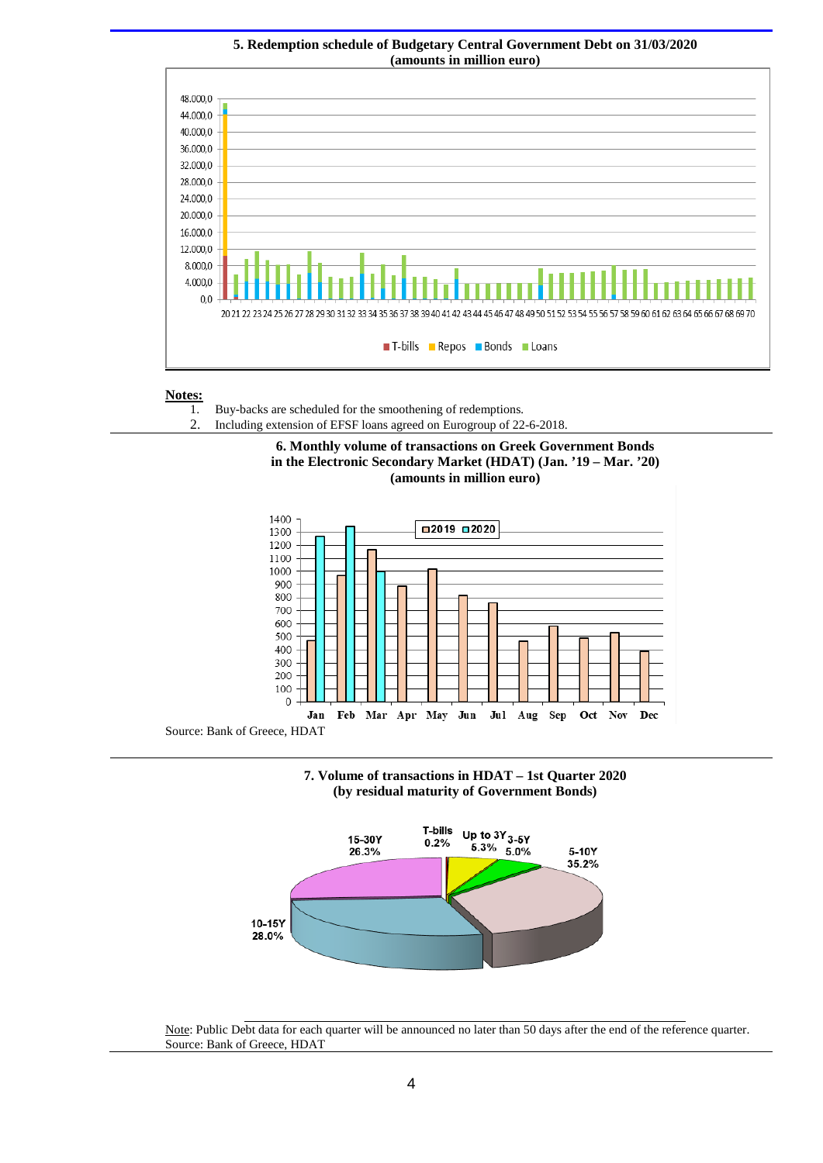

# **5. Redemption schedule of Budgetary Central Government Debt on 31/03/2020**

# **Notes:**

- 1. Buy-backs are scheduled for the smoothening of redemptions*.*
- 2. Including extension of EFSF loans agreed on Eurogroup of 22-6-2018.











Note: Public Debt data for each quarter will be announced no later than 50 days after the end of the reference quarter. Source: Bank of Greece, HDAT